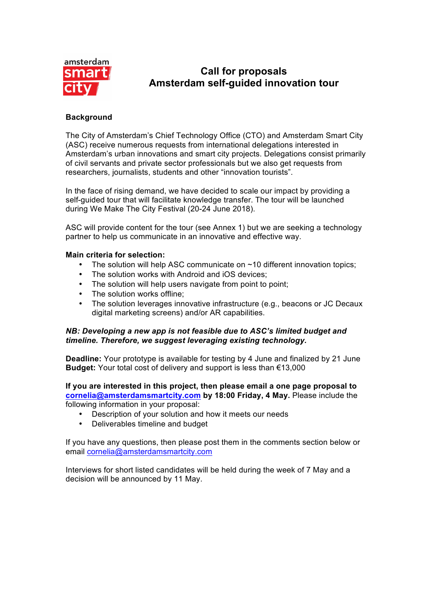

# **Call for proposals Amsterdam self-guided innovation tour**

### **Background**

The City of Amsterdam's Chief Technology Office (CTO) and Amsterdam Smart City (ASC) receive numerous requests from international delegations interested in Amsterdam's urban innovations and smart city projects. Delegations consist primarily of civil servants and private sector professionals but we also get requests from researchers, journalists, students and other "innovation tourists".

In the face of rising demand, we have decided to scale our impact by providing a self-guided tour that will facilitate knowledge transfer. The tour will be launched during We Make The City Festival (20-24 June 2018).

ASC will provide content for the tour (see Annex 1) but we are seeking a technology partner to help us communicate in an innovative and effective way.

#### **Main criteria for selection:**

- The solution will help ASC communicate on  $~10$  different innovation topics:
- The solution works with Android and iOS devices:
- The solution will help users navigate from point to point;
- The solution works offline:
- The solution leverages innovative infrastructure (e.g., beacons or JC Decaux digital marketing screens) and/or AR capabilities.

#### *NB: Developing a new app is not feasible due to ASC's limited budget and timeline. Therefore, we suggest leveraging existing technology.*

**Deadline:** Your prototype is available for testing by 4 June and finalized by 21 June **Budget:** Your total cost of delivery and support is less than €13,000

**If you are interested in this project, then please email a one page proposal to cornelia@amsterdamsmartcity.com by 18:00 Friday, 4 May.** Please include the following information in your proposal:

- Description of your solution and how it meets our needs
- Deliverables timeline and budget

If you have any questions, then please post them in the comments section below or email cornelia@amsterdamsmartcity.com

Interviews for short listed candidates will be held during the week of 7 May and a decision will be announced by 11 May.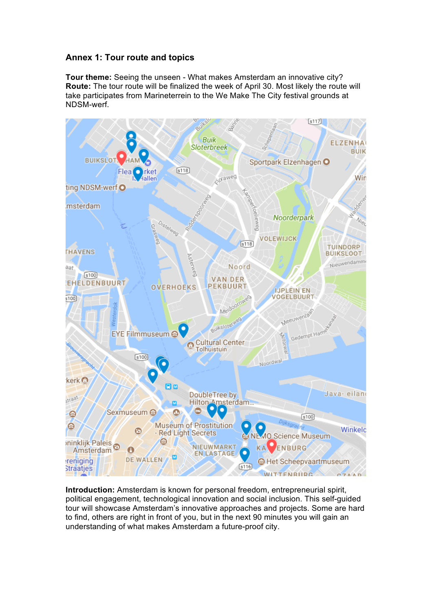## **Annex 1: Tour route and topics**

**Tour theme:** Seeing the unseen - What makes Amsterdam an innovative city? **Route:** The tour route will be finalized the week of April 30. Most likely the route will take participates from Marineterrein to the We Make The City festival grounds at NDSM-werf.



**Introduction:** Amsterdam is known for personal freedom, entrepreneurial spirit, political engagement, technological innovation and social inclusion. This self-guided tour will showcase Amsterdam's innovative approaches and projects. Some are hard to find, others are right in front of you, but in the next 90 minutes you will gain an understanding of what makes Amsterdam a future-proof city.